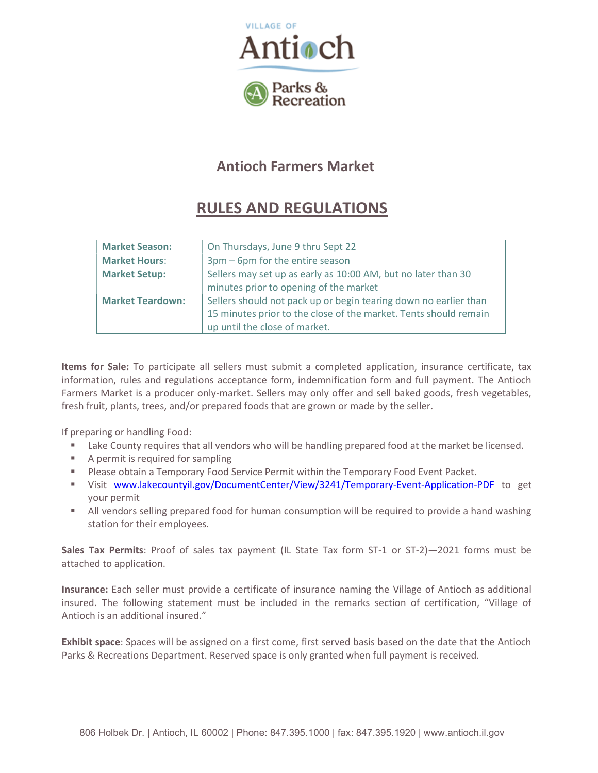

### Antioch Farmers Market

# RULES AND REGULATIONS

| <b>Market Season:</b>   | On Thursdays, June 9 thru Sept 22                                |  |
|-------------------------|------------------------------------------------------------------|--|
| <b>Market Hours:</b>    | 3pm – 6pm for the entire season                                  |  |
| <b>Market Setup:</b>    | Sellers may set up as early as 10:00 AM, but no later than 30    |  |
|                         | minutes prior to opening of the market                           |  |
| <b>Market Teardown:</b> | Sellers should not pack up or begin tearing down no earlier than |  |
|                         | 15 minutes prior to the close of the market. Tents should remain |  |
|                         | up until the close of market.                                    |  |

Items for Sale: To participate all sellers must submit a completed application, insurance certificate, tax information, rules and regulations acceptance form, indemnification form and full payment. The Antioch Farmers Market is a producer only-market. Sellers may only offer and sell baked goods, fresh vegetables, fresh fruit, plants, trees, and/or prepared foods that are grown or made by the seller.

If preparing or handling Food:

- **EXECOUNTY FEDUATE:** Lake County requires that all vendors who will be handling prepared food at the market be licensed.
- **A** permit is required for sampling
- **Please obtain a Temporary Food Service Permit within the Temporary Food Event Packet.**
- **Wisit www.lakecountyil.gov/DocumentCenter/View/3241/Temporary-Event-Application-PDF** to get your permit
- All vendors selling prepared food for human consumption will be required to provide a hand washing station for their employees.

Sales Tax Permits: Proof of sales tax payment (IL State Tax form ST-1 or ST-2)—2021 forms must be attached to application.

Insurance: Each seller must provide a certificate of insurance naming the Village of Antioch as additional insured. The following statement must be included in the remarks section of certification, "Village of Antioch is an additional insured."

Exhibit space: Spaces will be assigned on a first come, first served basis based on the date that the Antioch Parks & Recreations Department. Reserved space is only granted when full payment is received.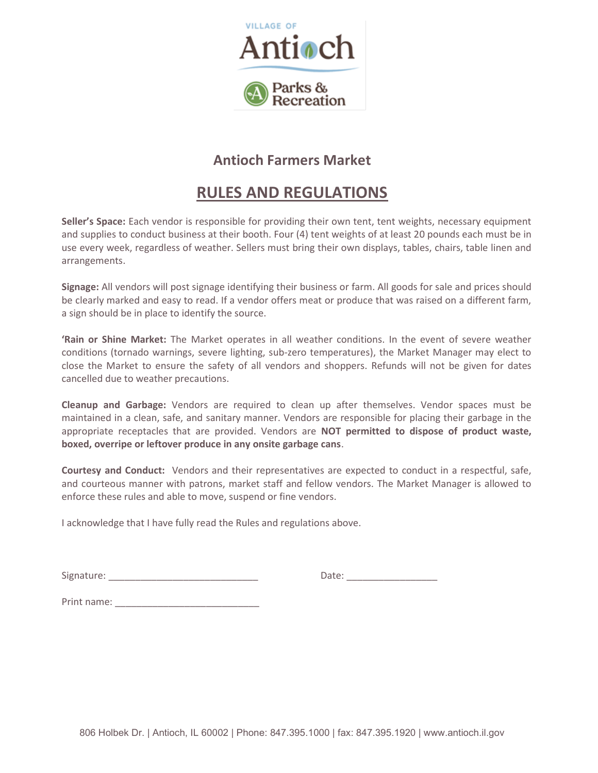

#### Antioch Farmers Market

## RULES AND REGULATIONS

Seller's Space: Each vendor is responsible for providing their own tent, tent weights, necessary equipment and supplies to conduct business at their booth. Four (4) tent weights of at least 20 pounds each must be in use every week, regardless of weather. Sellers must bring their own displays, tables, chairs, table linen and arrangements.

Signage: All vendors will post signage identifying their business or farm. All goods for sale and prices should be clearly marked and easy to read. If a vendor offers meat or produce that was raised on a different farm, a sign should be in place to identify the source.

'Rain or Shine Market: The Market operates in all weather conditions. In the event of severe weather conditions (tornado warnings, severe lighting, sub-zero temperatures), the Market Manager may elect to close the Market to ensure the safety of all vendors and shoppers. Refunds will not be given for dates cancelled due to weather precautions.

Cleanup and Garbage: Vendors are required to clean up after themselves. Vendor spaces must be maintained in a clean, safe, and sanitary manner. Vendors are responsible for placing their garbage in the appropriate receptacles that are provided. Vendors are NOT permitted to dispose of product waste, boxed, overripe or leftover produce in any onsite garbage cans.

Courtesy and Conduct: Vendors and their representatives are expected to conduct in a respectful, safe, and courteous manner with patrons, market staff and fellow vendors. The Market Manager is allowed to enforce these rules and able to move, suspend or fine vendors.

I acknowledge that I have fully read the Rules and regulations above.

Signature: \_\_\_\_\_\_\_\_\_\_\_\_\_\_\_\_\_\_\_\_\_\_\_\_\_\_\_\_ Date: \_\_\_\_\_\_\_\_\_\_\_\_\_\_\_\_\_

Print name:  $\blacksquare$